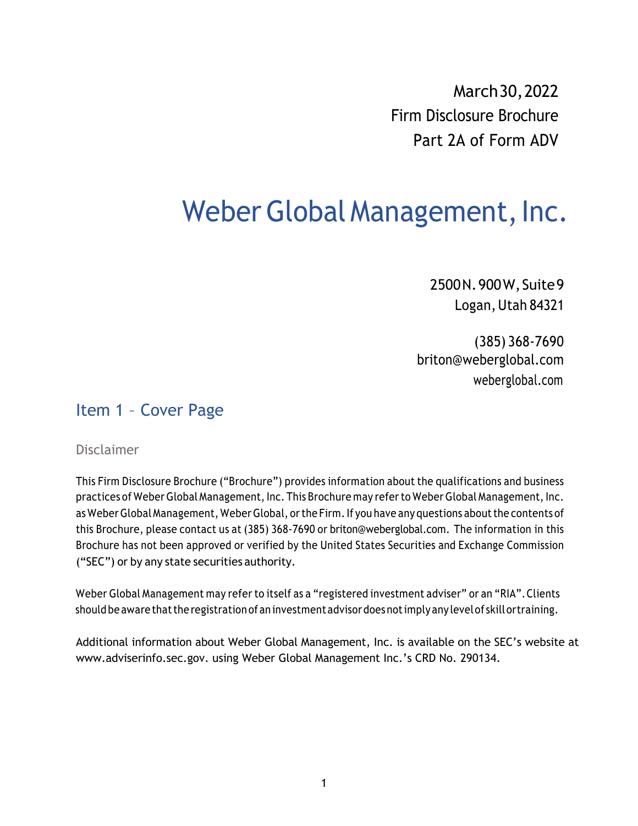March30,2022 Firm Disclosure Brochure Part 2A of Form ADV

# Weber Global Management, Inc.

2500N.900W,Suite9 Logan, Utah 84321

(385) 368-7690 briton@weberglobal.com weberglobal.com

### Item 1 – Cover Page

#### Disclaimer

This Firm Disclosure Brochure ("Brochure") provides information about the qualifications and business practices of Weber Global Management, Inc. This Brochure may refer to Weber Global Management, Inc. as Weber Global Management, Weber Global, or the Firm. If you have any questions about the contents of this Brochure, please contact us at (385) 368-7690 or briton@weberglobal.com. The information in this Brochure has not been approved or verified by the United States Securities and Exchange Commission ("SEC") or by any state securities authority.

Weber Global Management may refer to itself as a "registered investment adviser" or an "RIA".Clients should be aware that the registration of an investment advisor does not imply any level of skill or training.

Additional information about Weber Global Management, Inc. is available on the SEC's website at www.adviserinfo.sec.gov. using Weber Global Management Inc.'s CRD No. 290134.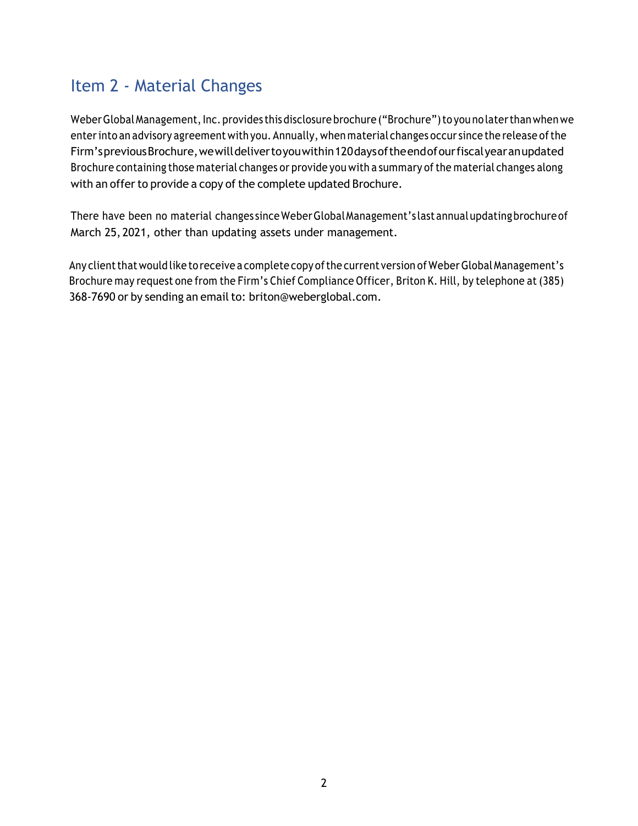## Item 2 - Material Changes

Weber Global Management, Inc. provides this disclosure brochure ("Brochure") to you no later than when we enter into an advisory agreement with you. Annually, when material changes occur since the release of the Firm'spreviousBrochure,wewilldelivertoyouwithin120daysoftheendofourfiscalyearanupdated Brochure containing those material changes or provide you with a summary of the material changes along with an offer to provide a copy of the complete updated Brochure.

There have been no material changes sinceWeberGlobalManagement's lastannualupdatingbrochureof March 25,2021, other than updating assets under management.

Any client that would like to receive a complete copy of the current version of Weber Global Management's Brochure may request one from the Firm's Chief Compliance Officer, Briton K. Hill, by telephone at (385) 368-7690 or by sending an email to: briton@weberglobal.com.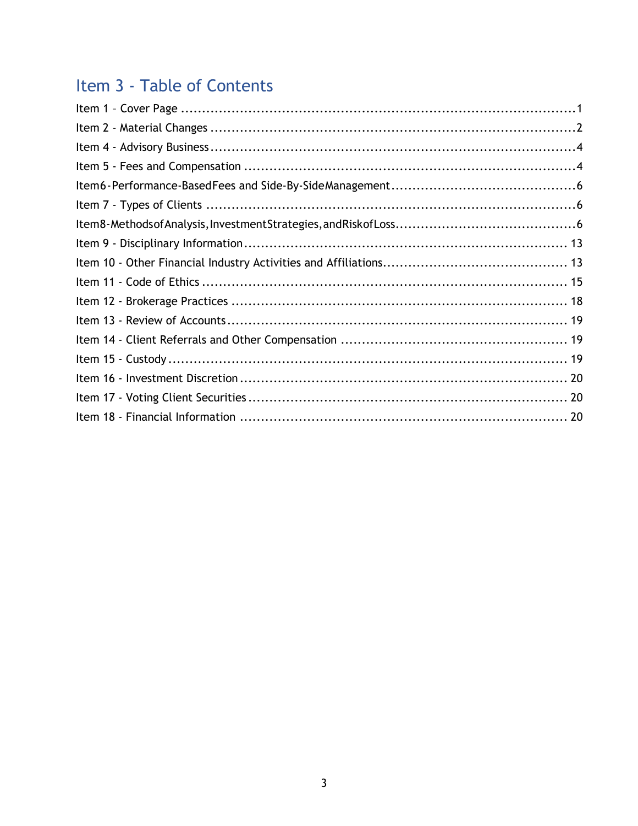# Item 3 - Table of Contents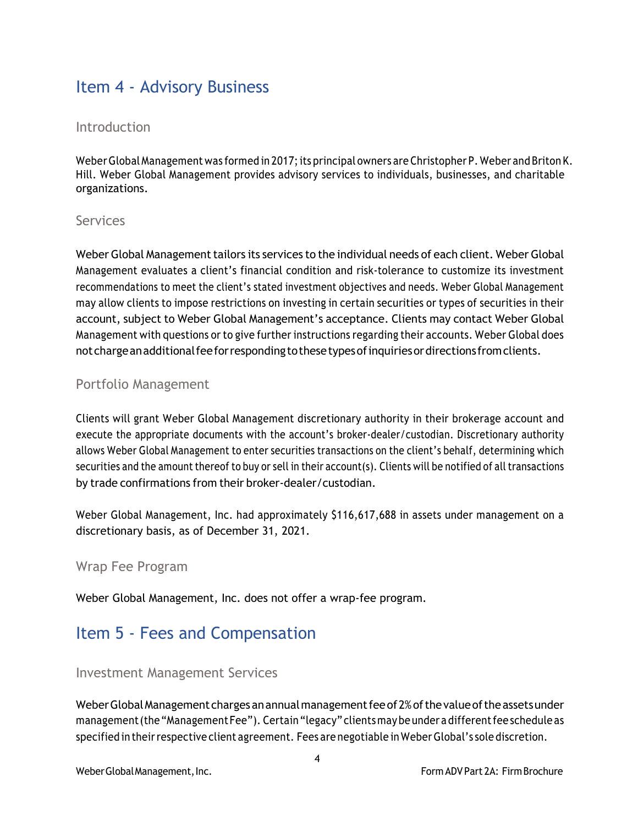### Item 4 - Advisory Business

#### Introduction

Weber Global Management was formed in 2017; its principal owners are Christopher P. Weber and Briton K. Hill. Weber Global Management provides advisory services to individuals, businesses, and charitable organizations.

#### Services

Weber Global Management tailors its services to the individual needs of each client. Weber Global Management evaluates a client's financial condition and risk-tolerance to customize its investment recommendations to meet the client's stated investment objectives and needs. Weber Global Management may allow clients to impose restrictions on investing in certain securities or types of securities in their account, subject to Weber Global Management's acceptance. Clients may contact Weber Global Management with questions or to give further instructions regarding their accounts. Weber Global does notchargeanadditionalfeeforrespondingtothesetypesofinquiriesordirections fromclients.

#### Portfolio Management

Clients will grant Weber Global Management discretionary authority in their brokerage account and execute the appropriate documents with the account's broker-dealer/custodian. Discretionary authority allows Weber Global Management to enter securities transactions on the client's behalf, determining which securities and the amount thereof to buy or sell in their account(s). Clients will be notified of all transactions by trade confirmations from their broker-dealer/custodian.

Weber Global Management, Inc. had approximately \$116,617,688 in assets under management on a discretionary basis, as of December 31, 2021.

#### Wrap Fee Program

Weber Global Management, Inc. does not offer a wrap-fee program.

### Item 5 - Fees and Compensation

#### Investment Management Services

Weber Global Management charges an annual management fee of 2% of the value of the assets under management (the "Management Fee"). Certain "legacy" clients may be under a different fee schedule as specified in theirrespective client agreement. Fees are negotiable in WeberGlobal's sole discretion.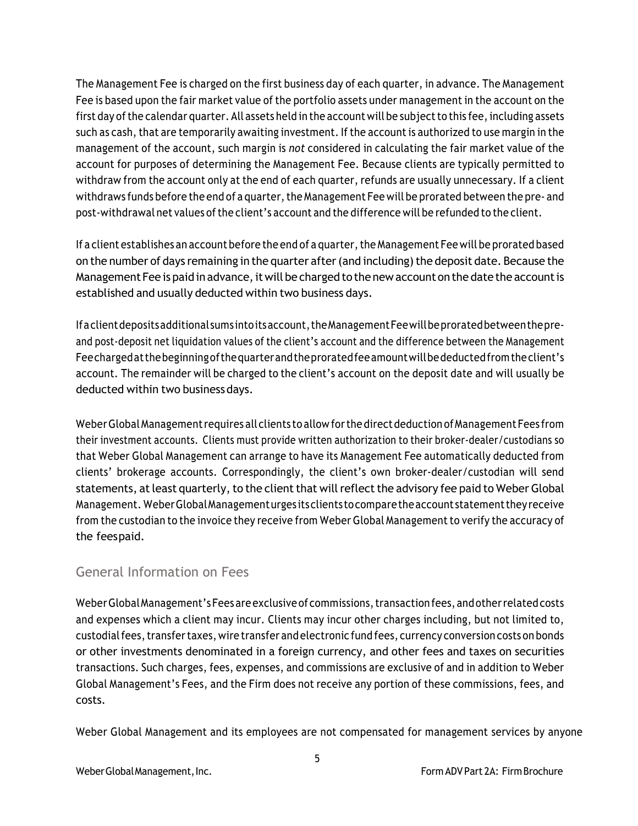The Management Fee is charged on the first business day of each quarter, in advance. The Management Fee is based upon the fair market value of the portfolio assets under management in the account on the first day of the calendar quarter. All assets held in the account will be subject to this fee, including assets such as cash, that are temporarily awaiting investment. If the account is authorized to use margin in the management of the account, such margin is *not* considered in calculating the fair market value of the account for purposes of determining the Management Fee. Because clients are typically permitted to withdraw from the account only at the end of each quarter, refunds are usually unnecessary. If a client withdraws funds before the end of a quarter, the Management Fee will be prorated between the pre- and post-withdrawal net values ofthe client's account and the difference will be refunded to the client.

If a client establishes an account before the end of a quarter, the Management Fee will be prorated based on the number of days remaining in the quarter after (and including) the deposit date. Because the Management Fee is paid in advance, it will be charged to the new account on the date the account is established and usually deducted within two business days.

If a client deposits additional sums into its account, the Management Fee will be prorated between the preand post-deposit net liquidation values of the client's account and the difference between the Management Feechargedatthebeginningofthequarterandtheproratedfeeamountwillbedeductedfromtheclient's account. The remainder will be charged to the client's account on the deposit date and will usually be deducted within two business days.

Weber Global Management requires all clients to allow for the direct deduction of Management Fees from their investment accounts. Clients must provide written authorization to their broker-dealer/custodians so that Weber Global Management can arrange to have its Management Fee automatically deducted from clients' brokerage accounts. Correspondingly, the client's own broker-dealer/custodian will send statements, at least quarterly, to the client that will reflect the advisory fee paid to Weber Global Management. WeberGlobalManagementurges itsclients tocomparetheaccount statementtheyreceive from the custodian to the invoice they receive from Weber Global Management to verify the accuracy of the feespaid.

#### General Information on Fees

Weber Global Management's Fees are exclusive of commissions, transaction fees, and other related costs and expenses which a client may incur. Clients may incur other charges including, but not limited to, custodial fees, transfer taxes, wire transfer and electronic fund fees, currency conversion costs on bonds or other investments denominated in a foreign currency, and other fees and taxes on securities transactions. Such charges, fees, expenses, and commissions are exclusive of and in addition to Weber Global Management's Fees, and the Firm does not receive any portion of these commissions, fees, and costs.

Weber Global Management and its employees are not compensated for management services by anyone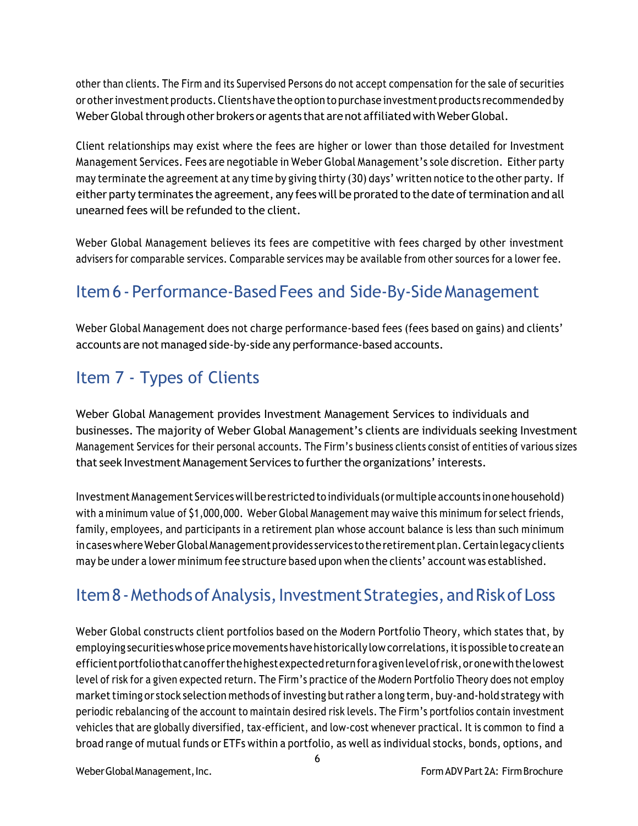other than clients. The Firm and its Supervised Persons do not accept compensation for the sale of securities or otherinvestment products.Clientshave the option to purchase investment products recommended by Weber Global through other brokers or agents that are not affiliated with Weber Global.

Client relationships may exist where the fees are higher or lower than those detailed for Investment Management Services. Fees are negotiable in Weber Global Management's sole discretion. Either party may terminate the agreement at any time by giving thirty (30) days' written notice to the other party. If either party terminates the agreement, any fees will be prorated to the date of termination and all unearned fees will be refunded to the client.

Weber Global Management believes its fees are competitive with fees charged by other investment advisers for comparable services. Comparable services may be available from other sources for a lower fee.

# Item6 - Performance-BasedFees and Side-By-SideManagement

Weber Global Management does not charge performance-based fees (fees based on gains) and clients' accounts are not managed side-by-side any performance-based accounts.

# Item 7 - Types of Clients

Weber Global Management provides Investment Management Services to individuals and businesses. The majority of Weber Global Management's clients are individuals seeking Investment Management Services for their personal accounts. The Firm's business clients consist of entities of various sizes that seek Investment Management Services to further the organizations' interests.

Investment Management Serviceswillberestrictedto individuals (ormultiple accounts inone household) with a minimum value of \$1,000,000. Weber Global Management may waive this minimum for select friends, family, employees, and participants in a retirement plan whose account balance is less than such minimum incases where Weber Global Management provides services to the retirement plan. Certain legacy clients may be under a lower minimum fee structure based upon when the clients' account was established.

# Item 8 - Methods of Analysis, Investment Strategies, and Risk of Loss

Weber Global constructs client portfolios based on the Modern Portfolio Theory, which states that, by employing securities whose price movements have historically low correlations, it is possible to create an efficientportfoliothatcanofferthehighestexpectedreturnforagivenlevelofrisk,oronewiththelowest level of risk for a given expected return. The Firm's practice of the Modern Portfolio Theory does not employ market timing or stock selection methods of investing but rather a long term, buy-and-hold strategy with periodic rebalancing of the account to maintain desired risk levels. The Firm's portfolios contain investment vehicles that are globally diversified, tax-efficient, and low-cost whenever practical. It is common to find a broad range of mutual funds or ETFs within a portfolio, as well as individual stocks, bonds, options, and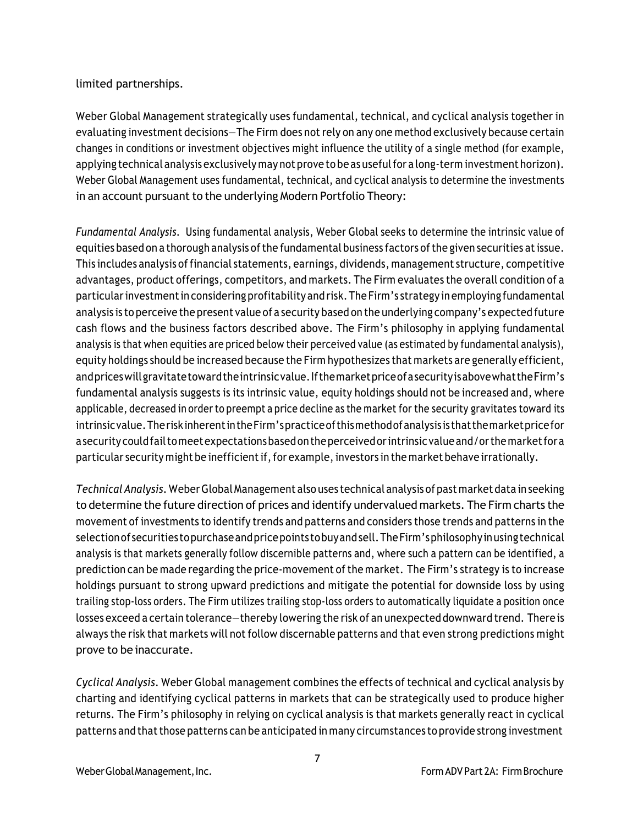#### limited partnerships.

Weber Global Management strategically uses fundamental, technical, and cyclical analysis together in evaluating investment decisions—The Firm does notrely on any one method exclusively because certain changes in conditions or investment objectives might influence the utility of a single method (for example, applying technical analysis exclusively may not prove to be as usefulfor a long-term investment horizon). Weber Global Management uses fundamental, technical, and cyclical analysis to determine the investments in an account pursuant to the underlying Modern Portfolio Theory:

*Fundamental Analysis.* Using fundamental analysis, Weber Global seeks to determine the intrinsic value of equities based on a thorough analysis of the fundamental business factors of the given securities at issue. This includes analysis offinancial statements, earnings, dividends, management structure, competitive advantages, product offerings, competitors, and markets. The Firm evaluates the overall condition of a particularinvestmentin considering profitability and risk.The Firm's strategy in employing fundamental analysis is to perceive the present value of a security based on the underlying company's expected future cash flows and the business factors described above. The Firm's philosophy in applying fundamental analysis is that when equities are priced below their perceived value (as estimated by fundamental analysis), equity holdings should be increased because the Firm hypothesizes that markets are generally efficient, andpriceswillgravitatetowardtheintrinsicvalue.IfthemarketpriceofasecurityisabovewhattheFirm's fundamental analysis suggests is its intrinsic value, equity holdings should not be increased and, where applicable, decreased in order to preempt a price decline as the market for the security gravitates toward its intrinsicvalue.TheriskinherentintheFirm'spracticeofthismethodofanalysis is thatthemarketpricefor asecurity couldfailtomeetexpectationsbasedontheperceivedorintrinsic valueand/orthemarketfora particular security might be inefficient if, for example, investors in the market behave irrationally.

*TechnicalAnalysis.* WeberGlobal Management also uses technical analysis of past market data in seeking to determine the future direction of prices and identify undervalued markets. The Firm charts the movement of investments to identify trends and patterns and considers those trends and patterns in the selectionof securities topurchaseandpricepoints tobuyandsell.TheFirm'sphilosophyinusing technical analysis is that markets generally follow discernible patterns and, where such a pattern can be identified, a prediction can be made regarding the price-movement ofthe market. The Firm's strategy is to increase holdings pursuant to strong upward predictions and mitigate the potential for downside loss by using trailing stop-loss orders. The Firm utilizes trailing stop-loss orders to automatically liquidate a position once losses exceed a certain tolerance—thereby lowering the risk of an unexpected downward trend. There is always the risk that markets will not follow discernable patterns and that even strong predictions might prove to be inaccurate.

*Cyclical Analysis*. Weber Global management combines the effects of technical and cyclical analysis by charting and identifying cyclical patterns in markets that can be strategically used to produce higher returns. The Firm's philosophy in relying on cyclical analysis is that markets generally react in cyclical patterns and that those patterns can be anticipated in many circumstances to provide strong investment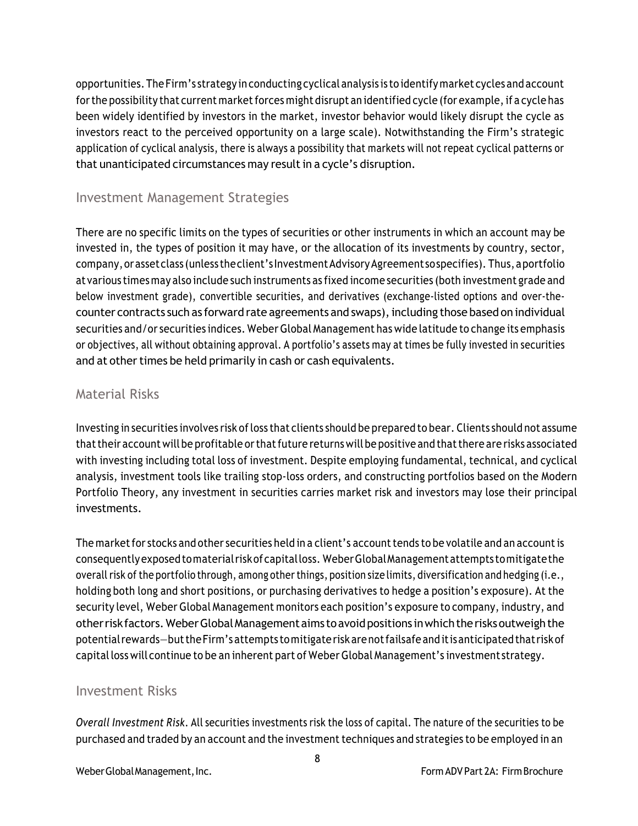opportunities.The Firm's strategy in conducting cyclical analysis is to identify market cycles and account for the possibility that current market forces might disrupt an identified cycle (for example, if a cycle has been widely identified by investors in the market, investor behavior would likely disrupt the cycle as investors react to the perceived opportunity on a large scale). Notwithstanding the Firm's strategic application of cyclical analysis, there is always a possibility that markets will not repeat cyclical patterns or that unanticipated circumstances may result in a cycle's disruption.

#### Investment Management Strategies

There are no specific limits on the types of securities or other instruments in which an account may be invested in, the types of position it may have, or the allocation of its investments by country, sector, company, or asset class (unless the client's Investment Advisory Agreement sospecifies). Thus, a portfolio at various timesmay also include such instruments as fixed income securities (both investment grade and below investment grade), convertible securities, and derivatives (exchange-listed options and over-thecounter contracts such as forward rate agreements and swaps), including those based on individual securities and/or securities indices. Weber Global Management has wide latitude to change its emphasis or objectives, all without obtaining approval. A portfolio's assets may at times be fully invested in securities and at other times be held primarily in cash or cash equivalents.

#### Material Risks

Investing in securities involves risk ofloss that clients should be prepared to bear. Clients should not assume that their account will be profitable or that future returns will be positive and that there are risks associated with investing including total loss of investment. Despite employing fundamental, technical, and cyclical analysis, investment tools like trailing stop-loss orders, and constructing portfolios based on the Modern Portfolio Theory, any investment in securities carries market risk and investors may lose their principal investments.

The market for stocks and other securities held in a client's account tends to be volatile and an account is consequentlyexposedtomaterialriskofcapitalloss. WeberGlobalManagementattempts tomitigatethe overall risk of the portfolio through, among other things, position size limits, diversification and hedging (i.e., holding both long and short positions, or purchasing derivatives to hedge a position's exposure). At the security level, Weber Global Management monitors each position's exposure to company, industry, and otherriskfactors.WeberGlobalManagementaims toavoidpositions inwhichtherisksoutweighthe potentialrewards—buttheFirm's attempts tomitigaterisk arenotfailsafeanditisanticipatedthatriskof capitalloss will continue to be an inherent part of Weber Global Management's investment strategy.

#### Investment Risks

*Overall Investment Risk*. All securities investments risk the loss of capital. The nature of the securities to be purchased and traded by an account and the investment techniques and strategies to be employed in an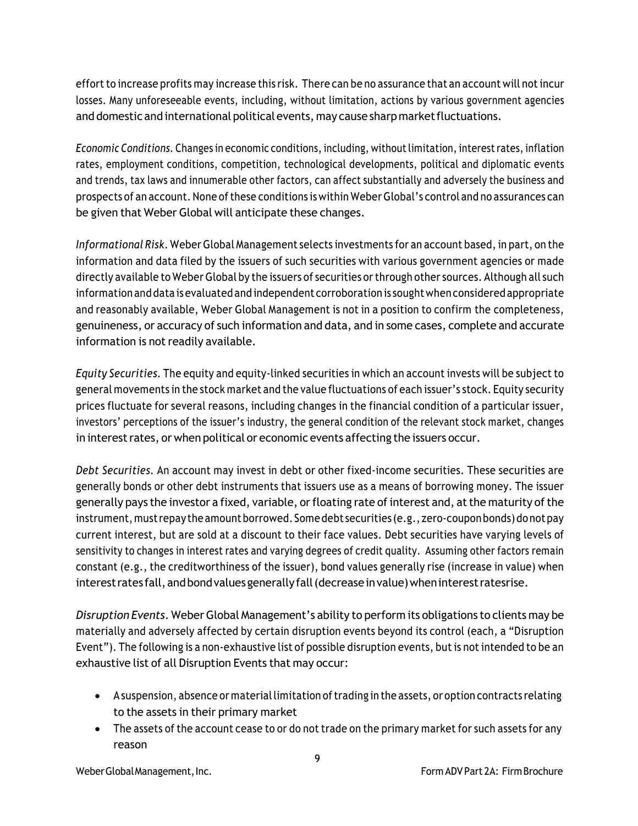effort to increase profits may increase this risk. There can be no assurance that an account will not incur losses. Many unforeseeable events, including, without limitation, actions by various government agencies and domestic and international political events, may cause sharp market fluctuations.

*Economic Conditions.* Changes in economic conditions, including, without limitation, interest rates, inflation rates, employment conditions, competition, technological developments, political and diplomatic events and trends, tax laws and innumerable other factors, can affect substantially and adversely the business and prospects of an account.None ofthese conditions is within WeberGlobal's control and no assurances can be given that Weber Global will anticipate these changes.

*Informational Risk*. Weber Global Management selects investments for an account based, in part, on the information and data filed by the issuers of such securities with various government agencies or made directly available to Weber Global by the issuers of securities orthrough other sources. Although all such information and data is evaluated and independent corroboration is soughtwhen considered appropriate and reasonably available, Weber Global Management is not in a position to confirm the completeness, genuineness, or accuracy of such information and data, and in some cases, complete and accurate information is not readily available.

*Equity Securities.* The equity and equity-linked securities in which an account invests will be subject to general movements in the stock market and the value fluctuations of each issuer's stock. Equity security prices fluctuate for several reasons, including changes in the financial condition of a particular issuer, investors' perceptions of the issuer's industry, the general condition of the relevant stock market, changes in interest rates, or when political or economic events affecting the issuers occur.

*Debt Securities.* An account may invest in debt or other fixed-income securities. These securities are generally bonds or other debt instruments that issuers use as a means of borrowing money. The issuer generally pays the investor a fixed, variable, or floating rate of interest and, at the maturity of the instrument, must repay the amount borrowed. Some debt securities (e.g., zero-coupon bonds) do not pay current interest, but are sold at a discount to their face values. Debt securities have varying levels of sensitivity to changes in interest rates and varying degrees of credit quality. Assuming other factors remain constant (e.g., the creditworthiness of the issuer), bond values generally rise (increase in value) when interest rates fall, and bond values generally fall (decrease in value) when interest ratesrise.

*Disruption Events*. WeberGlobal Management's ability to perform its obligations to clients may be materially and adversely affected by certain disruption events beyond its control (each, a "Disruption Event"). The following is a non-exhaustive list of possible disruption events, but is not intended to be an exhaustive list of all Disruption Events that may occur:

- A suspension, absence or material limitation of trading in the assets, or option contracts relating to the assets in their primary market
- The assets of the account cease to or do not trade on the primary market for such assets for any reason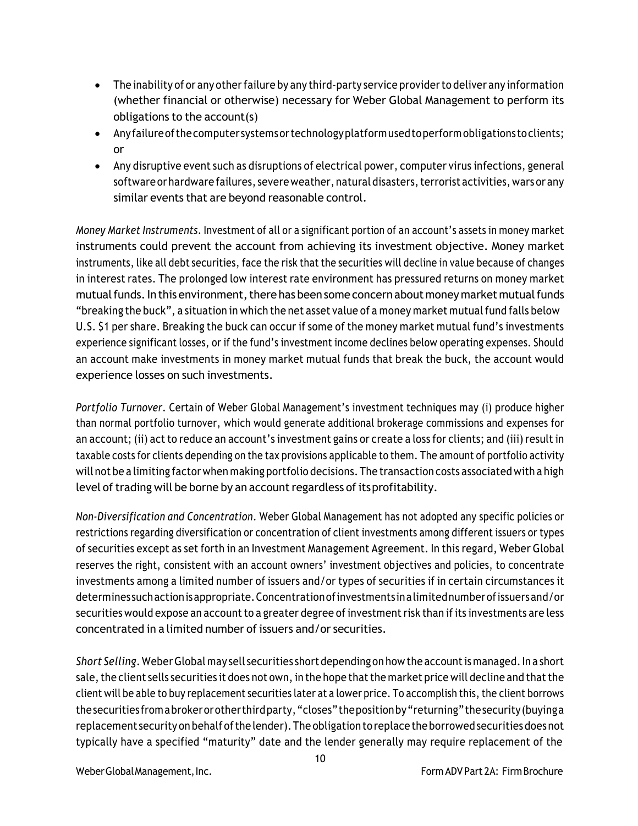- The inability of or any other failure by any third-party service provider to deliver any information (whether financial or otherwise) necessary for Weber Global Management to perform its obligations to the account(s)
- Anyfailureofthecomputer systemsortechnologyplatformusedtoperformobligations toclients; or
- Any disruptive event such as disruptions of electrical power, computer virus infections, general software or hardware failures, severe weather, natural disasters, terrorist activities, wars or any similar events that are beyond reasonable control.

*Money Market Instruments*. Investment of all or a significant portion of an account's assets in money market instruments could prevent the account from achieving its investment objective. Money market instruments, like all debt securities, face the risk that the securities will decline in value because of changes in interest rates. The prolonged low interest rate environment has pressured returns on money market mutual funds. In this environment, there has been some concern about money market mutual funds "breaking the buck", a situation in which the net asset value of a money market mutualfund falls below U.S. \$1 per share. Breaking the buck can occur if some of the money market mutual fund's investments experience significant losses, or if the fund's investment income declines below operating expenses. Should an account make investments in money market mutual funds that break the buck, the account would experience losses on such investments.

*Portfolio Turnover*. Certain of Weber Global Management's investment techniques may (i) produce higher than normal portfolio turnover, which would generate additional brokerage commissions and expenses for an account; (ii) act to reduce an account's investment gains or create a loss for clients; and (iii) resultin taxable costs for clients depending on the tax provisions applicable to them. The amount of portfolio activity will not be a limiting factor when making portfolio decisions. The transaction costs associated with a high level of trading will be borne by an account regardless of its profitability.

*Non-Diversification and Concentration*. Weber Global Management has not adopted any specific policies or restrictions regarding diversification or concentration of client investments among different issuers or types of securities except as set forth in an Investment Management Agreement. In this regard, Weber Global reserves the right, consistent with an account owners' investment objectives and policies, to concentrate investments among a limited number of issuers and/or types of securities if in certain circumstances it determines suchactionisappropriate.Concentrationofinvestments inalimitednumberofissuersand/or securities would expose an account to a greater degree of investment risk than if its investments are less concentrated in a limited number of issuers and/or securities.

*Short Selling*. Weber Global may sell securities short depending on how the account is managed. In a short sale, the client sells securities it does not own, in the hope that the market price will decline and that the client will be able to buy replacement securities later at a lower price. To accomplish this, the client borrows thesecurities fromabrokerorotherthirdparty,"closes"thepositionby"returning"thesecurity(buyinga replacement security on behalf of the lender). The obligation to replace the borrowed securities does not typically have a specified "maturity" date and the lender generally may require replacement of the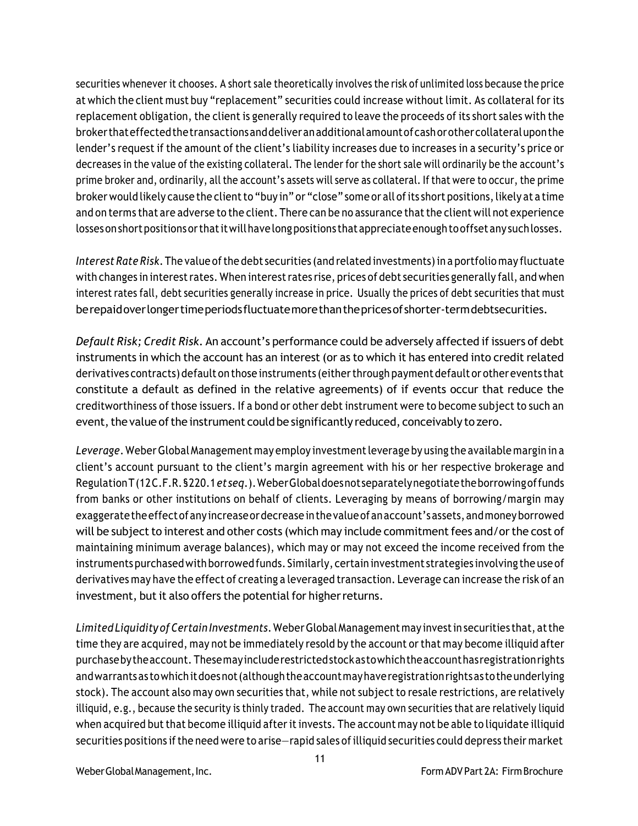securities whenever it chooses. A short sale theoretically involves the risk of unlimited loss because the price at which the client must buy "replacement" securities could increase without limit. As collateral for its replacement obligation, the client is generally required to leave the proceeds of its short sales with the brokerthateffectedthetransactionsanddeliveranadditionalamountofcashorothercollateraluponthe lender's request if the amount of the client's liability increases due to increases in a security's price or decreases in the value of the existing collateral. The lender for the short sale will ordinarily be the account's prime broker and, ordinarily, all the account's assets will serve as collateral. If that were to occur, the prime broker would likely cause the client to "buy in" or "close" some or all of its short positions, likely at a time and on terms that are adverse to the client. There can be no assurance thatthe client will not experience losses on short positions or that it will have long positions that appreciate enough to offset any such losses.

*Interest Rate Risk*. The value of the debt securities (and related investments) in a portfolio may fluctuate with changes in interest rates. When interest rates rise, prices of debt securities generally fall, and when interest rates fall, debt securities generally increase in price. Usually the prices of debt securities that must berepaidoverlongertimeperiodsfluctuatemorethanthepricesofshorter-termdebtsecurities.

*Default Risk; Credit Risk*. An account's performance could be adversely affected if issuers of debt instruments in which the account has an interest (or as to which it has entered into credit related derivatives contracts) default on those instruments (eitherthrough payment default or otherevents that constitute a default as defined in the relative agreements) of if events occur that reduce the creditworthiness of those issuers. If a bond or other debt instrument were to become subject to such an event, the value of the instrument could be significantly reduced, conceivably to zero.

*Leverage*. WeberGlobalManagement may employ investmentleverage by using the available margin in a client's account pursuant to the client's margin agreement with his or her respective brokerage and RegulationT(12C.F.R.§220.1*etseq*.).WeberGlobaldoesnotseparatelynegotiatetheborrowingoffunds from banks or other institutions on behalf of clients. Leveraging by means of borrowing/margin may exaggerate the effect of any increase or decrease in the value of an account's assets, and money borrowed will be subject to interest and other costs (which may include commitment fees and/or the cost of maintaining minimum average balances), which may or may not exceed the income received from the instrumentspurchasedwith borrowed funds. Similarly, certain investment strategies involving the use of derivatives may have the effect of creating a leveraged transaction. Leverage can increase the risk of an investment, but it also offers the potential for higher returns.

*Limited Liquidity ofCertain Investments*.WeberGlobalManagement may investin securities that, atthe time they are acquired, may not be immediately resold by the account orthat may become illiquid after purchasebytheaccount. Thesemayincluderestrictedstockastowhichtheaccounthasregistrationrights andwarrantsas towhichitdoesnot(althoughtheaccountmayhaveregistrationrightsas totheunderlying stock). The account also may own securities that, while not subject to resale restrictions, are relatively illiquid, e.g., because the security is thinly traded. The account may own securities that are relatively liquid when acquired but that become illiquid after it invests. The account may not be able to liquidate illiquid securities positions if the need were to arise—rapid sales of illiquid securities could depress their market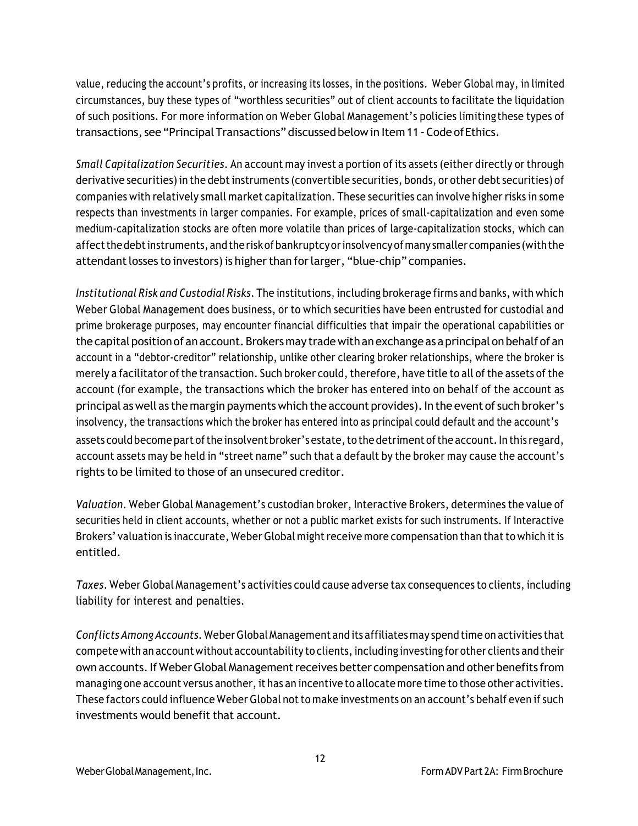value, reducing the account's profits, or increasing its losses, in the positions. Weber Global may, in limited circumstances, buy these types of "worthless securities" out of client accounts to facilitate the liquidation of such positions. For more information on Weber Global Management's policies limiting these types of transactions, see "PrincipalTransactions" discussed belowin Item 11 -Code ofEthics.

*Small Capitalization Securities*. An account may invest a portion of its assets (either directly or through derivative securities) in the debtinstruments (convertible securities, bonds, or other debt securities) of companies with relatively small market capitalization. These securities can involve higher risks in some respects than investments in larger companies. For example, prices of small-capitalization and even some medium-capitalization stocks are often more volatile than prices of large-capitalization stocks, which can affectthedebtinstruments, andtherisk ofbankruptcyorinsolvency ofmany smaller companies (withthe attendant losses to investors) is higher than for larger, "blue-chip" companies.

*Institutional Risk and Custodial Risks*. The institutions, including brokerage firms and banks, with which Weber Global Management does business, or to which securities have been entrusted for custodial and prime brokerage purposes, may encounter financial difficulties that impair the operational capabilities or the capital position of an account. Brokers may trade with an exchange as a principal on behalf of an account in a "debtor-creditor" relationship, unlike other clearing broker relationships, where the broker is merely a facilitator of the transaction. Such broker could, therefore, have title to all of the assets of the account (for example, the transactions which the broker has entered into on behalf of the account as principal as well as the margin payments which the account provides). In the event of such broker's insolvency, the transactions which the broker has entered into as principal could default and the account's assets could become part of the insolvent broker's estate, to the detriment of the account. In this regard, account assets may be held in "street name" such that a default by the broker may cause the account's rights to be limited to those of an unsecured creditor.

*Valuation*. Weber Global Management's custodian broker, Interactive Brokers, determines the value of securities held in client accounts, whether or not a public market exists for such instruments. If Interactive Brokers' valuation is inaccurate, Weber Global might receive more compensation than that to which it is entitled.

*Taxes*. Weber Global Management's activities could cause adverse tax consequences to clients, including liability for interest and penalties.

*Conflicts AmongAccounts.* WeberGlobalManagement and its affiliates may spend time on activities that compete with an accountwithout accountability to clients,including investing for other clients and their own accounts. If Weber Global Management receives better compensation and other benefits from managing one account versus another, it has an incentive to allocate more time to those other activities. These factors could influence Weber Global not to make investments on an account's behalf even if such investments would benefit that account.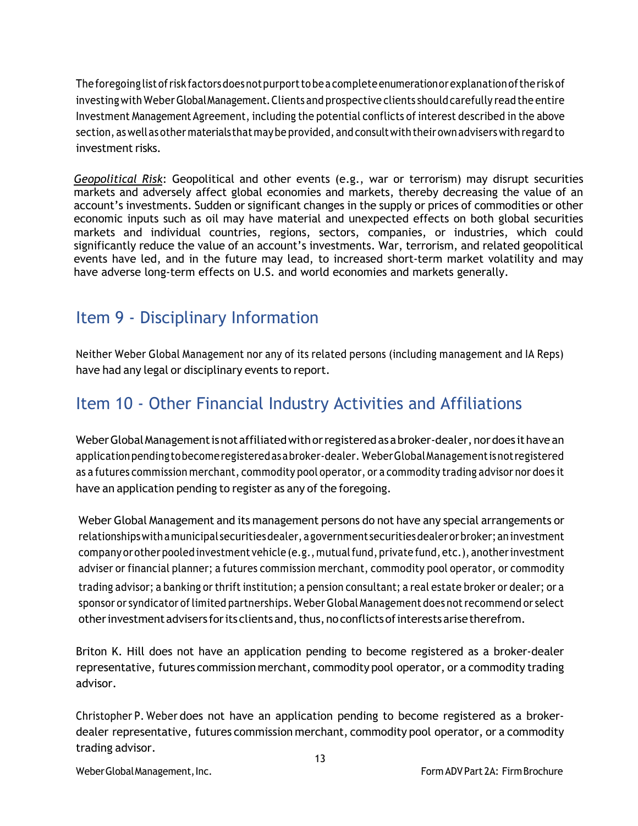Theforegoing listofrisk factorsdoesnotpurporttobeacompleteenumerationorexplanationoftherisk of investing with Weber Global Management. Clients and prospective clients should carefully read the entire Investment Management Agreement, including the potential conflicts of interest described in the above section, as wellas other materialsthat maybe provided, and consultwith their ownadvisers with regard to investment risks.

*Geopolitical Risk*: Geopolitical and other events (e.g., war or terrorism) may disrupt securities markets and adversely affect global economies and markets, thereby decreasing the value of an account's investments. Sudden or significant changes in the supply or prices of commodities or other economic inputs such as oil may have material and unexpected effects on both global securities markets and individual countries, regions, sectors, companies, or industries, which could significantly reduce the value of an account's investments. War, terrorism, and related geopolitical events have led, and in the future may lead, to increased short-term market volatility and may have adverse long-term effects on U.S. and world economies and markets generally.

### Item 9 - Disciplinary Information

Neither Weber Global Management nor any of its related persons (including management and IA Reps) have had any legal or disciplinary events to report.

### Item 10 - Other Financial Industry Activities and Affiliations

Weber Global Management is not affiliated with or registered as a broker-dealer, nor does it have an applicationpendingtobecomeregisteredasabroker-dealer. WeberGlobalManagementisnotregistered as a futures commission merchant, commodity pool operator, or a commodity trading advisor nor does it have an application pending to register as any of the foregoing.

Weber Global Management and its management persons do not have any special arrangements or relationships with a municipal securities dealer, a government securities dealer or broker; an investment company or other pooled investment vehicle (e.g., mutual fund, private fund, etc.), another investment adviser or financial planner; a futures commission merchant, commodity pool operator, or commodity trading advisor; a banking or thrift institution; a pension consultant; a real estate broker or dealer; or a sponsor or syndicator of limited partnerships. Weber Global Management does not recommend or select other investment advisers for its clients and, thus, no conflicts of interests arise therefrom.

Briton K. Hill does not have an application pending to become registered as a broker-dealer representative, futures commission merchant, commodity pool operator, or a commodity trading advisor.

Christopher P. Weber does not have an application pending to become registered as a brokerdealer representative, futures commission merchant, commodity pool operator, or a commodity trading advisor.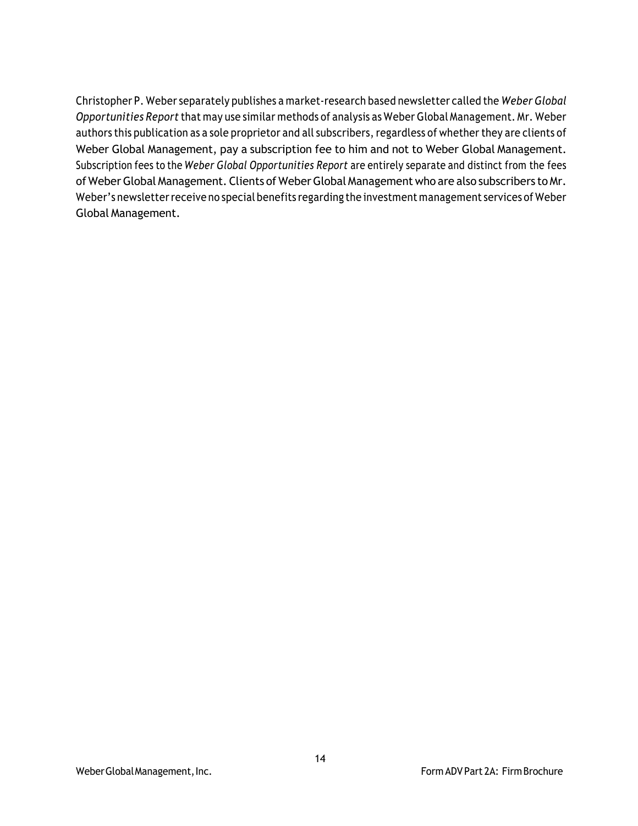Christopher P. Weber separately publishes a market-research based newsletter called the *Weber Global Opportunities Report* that may use similar methods of analysis as Weber Global Management. Mr. Weber authors this publication as a sole proprietor and all subscribers, regardless of whether they are clients of Weber Global Management, pay a subscription fee to him and not to Weber Global Management. Subscription fees to the *Weber Global Opportunities Report* are entirely separate and distinct from the fees of Weber Global Management. Clients of Weber Global Management who are also subscribers to Mr. Weber's newsletter receive no special benefits regarding the investment management services of Weber Global Management.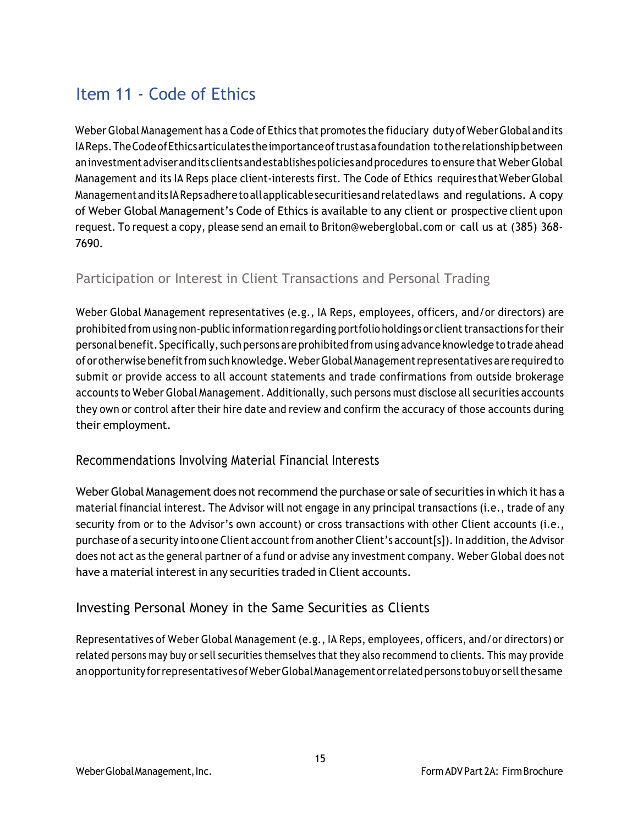# Item 11 - Code of Ethics

Weber Global Management has a Code of Ethics that promotes the fiduciary duty of Weber Global and its IAReps.TheCodeofEthicsarticulates theimportanceoftrustasafoundation totherelationshipbetween aninvestmentadviseranditsclientsandestablishespoliciesandprocedures to ensure that Weber Global Management and its IA Reps place client-interests first. The Code of Ethics requires thatWeberGlobal Managementandits IARepsadheretoallapplicablesecuritiesandrelatedlaws and regulations. A copy of Weber Global Management's Code of Ethics is available to any client or prospective client upon request. To request a copy, please send an email to Briton@weberglobal.com or call us at (385) 368- 7690.

### Participation or Interest in Client Transactions and Personal Trading

Weber Global Management representatives (e.g., IA Reps, employees, officers, and/or directors) are prohibited from using non-public information regarding portfolio holdings or client transactions for their personalbenefit. Specifically, such persons are prohibited from using advance knowledge to trade ahead of or otherwise benefitfrom such knowledge. WeberGlobalManagementrepresentatives are required to submit or provide access to all account statements and trade confirmations from outside brokerage accounts to Weber Global Management. Additionally, such persons must disclose all securities accounts they own or control after their hire date and review and confirm the accuracy of those accounts during their employment.

#### Recommendations Involving Material Financial Interests

Weber Global Management does not recommend the purchase or sale of securities in which it has a material financial interest. The Advisor will not engage in any principal transactions (i.e., trade of any security from or to the Advisor's own account) or cross transactions with other Client accounts (i.e., purchase of a security into one Client account from another Client's account[s]). In addition, the Advisor does not act as the general partner of a fund or advise any investment company. Weber Global does not have a material interest in any securities traded in Client accounts.

### Investing Personal Money in the Same Securities as Clients

Representatives of Weber Global Management (e.g., IA Reps, employees, officers, and/or directors) or related persons may buy or sell securities themselves that they also recommend to clients. This may provide anopportunityforrepresentativesofWeberGlobalManagementorrelatedpersons tobuyor sellthesame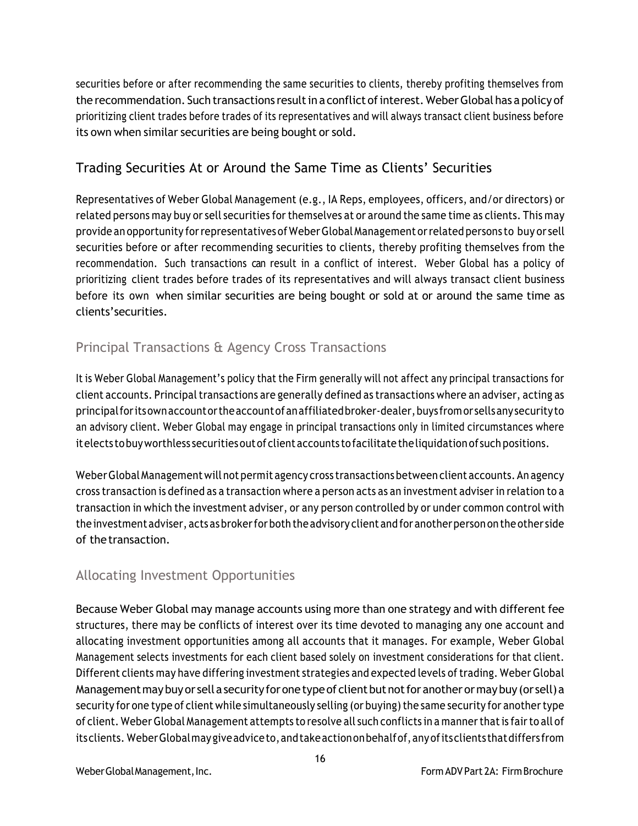securities before or after recommending the same securities to clients, thereby profiting themselves from the recommendation. Such transactions result in a conflict of interest. Weber Global has a policy of prioritizing client trades before trades of its representatives and will always transact client business before its own when similar securities are being bought or sold.

### Trading Securities At or Around the Same Time as Clients' Securities

Representatives of Weber Global Management (e.g., IA Reps, employees, officers, and/or directors) or related persons may buy or sell securities for themselves at or around the same time as clients. This may provide an opportunity forrepresentatives of WeberGlobal Management orrelated persons to buy or sell securities before or after recommending securities to clients, thereby profiting themselves from the recommendation. Such transactions can result in a conflict of interest. Weber Global has a policy of prioritizing client trades before trades of its representatives and will always transact client business before its own when similar securities are being bought or sold at or around the same time as clients'securities.

### Principal Transactions & Agency Cross Transactions

It is Weber Global Management's policy that the Firm generally will not affect any principal transactions for client accounts. Principal transactions are generally defined as transactions where an adviser, acting as principalforitsownaccountortheaccountofanaffiliatedbroker-dealer,buys fromor sellsanysecurityto an advisory client. Weber Global may engage in principal transactions only in limited circumstances where itelects tobuyworthless securitiesoutof client accounts tofacilitatetheliquidation of such positions.

Weber Global Management will not permit agency cross transactions between client accounts. An agency cross transaction is defined as a transaction where a person acts as an investment adviserin relation to a transaction in which the investment adviser, or any person controlled by or under common control with the investment adviser, acts as broker for both the advisory client and for another person on the other side of thetransaction.

### Allocating Investment Opportunities

Because Weber Global may manage accounts using more than one strategy and with different fee structures, there may be conflicts of interest over its time devoted to managing any one account and allocating investment opportunities among all accounts that it manages. For example, Weber Global Management selects investments for each client based solely on investment considerations for that client. Different clients may have differing investment strategies and expected levels oftrading. Weber Global Management may buy or sell a security for one type of client but not for another or may buy (or sell) a security for one type of client while simultaneously selling (or buying) the same security for another type of client. WeberGlobal Management attempts to resolve all such conflicts in a mannerthatis fairto all of itsclients. WeberGlobalmaygiveadviceto,andtakeactiononbehalfof,anyofitsclients thatdiffers from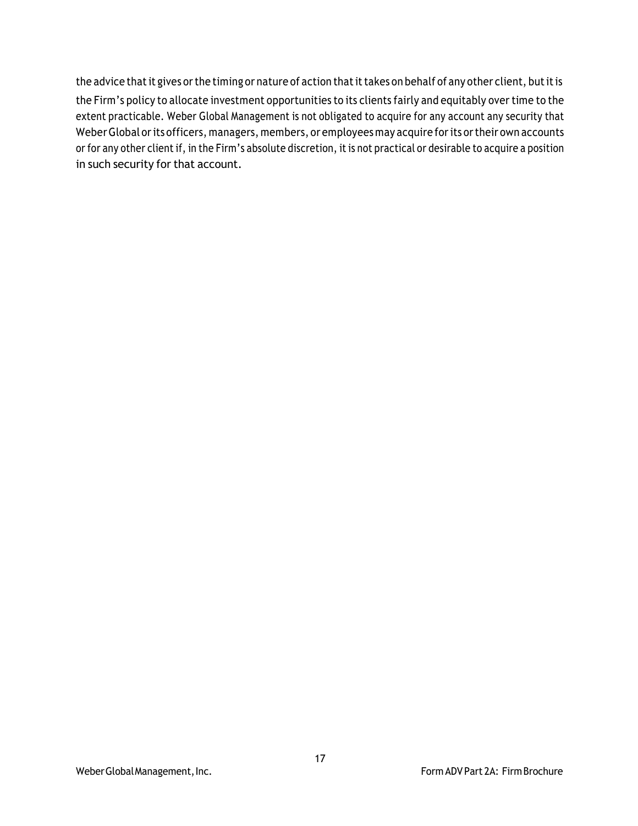the advice that it gives or the timing or nature of action that it takes on behalf of any other client, but it is the Firm's policy to allocate investment opportunities to its clients fairly and equitably over time to the extent practicable. Weber Global Management is not obligated to acquire for any account any security that Weber Global or its officers, managers, members, or employees may acquire for its or their own accounts or for any other client if, in the Firm's absolute discretion, it is not practical or desirable to acquire a position in such security for that account.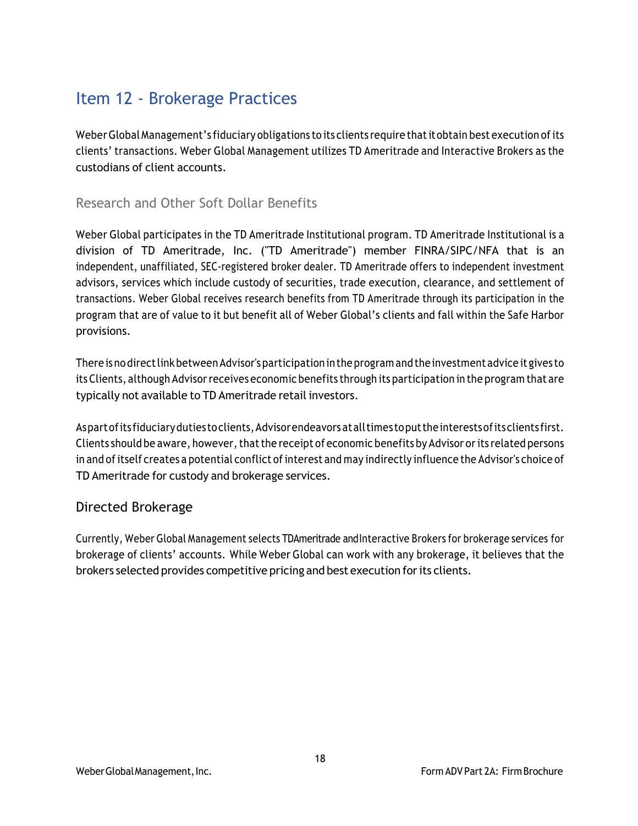# Item 12 - Brokerage Practices

Weber Global Management's fiduciary obligations to its clients require that it obtain best execution of its clients' transactions. Weber Global Management utilizes TD Ameritrade and Interactive Brokers as the custodians of client accounts.

#### Research and Other Soft Dollar Benefits

Weber Global participates in the TD Ameritrade Institutional program. TD Ameritrade Institutional is a division of TD Ameritrade, Inc. ("TD Ameritrade") member FINRA/SIPC/NFA that is an independent, unaffiliated, SEC-registered broker dealer. TD Ameritrade offers to independent investment advisors, services which include custody of securities, trade execution, clearance, and settlement of transactions. Weber Global receives research benefits from TD Ameritrade through its participation in the program that are of value to it but benefit all of Weber Global's clients and fall within the Safe Harbor provisions.

There isnodirectlinkbetweenAdvisor'sparticipation in the program and the investmentadvice it gives to its Clients, although Advisorreceives economic benefits through its participation in the program that are typically not available to TD Ameritrade retail investors.

Aspart of its fiduciary duties to clients, Advisor endeavors at all times to put the interests of its clients first. Clients should be aware, however, that the receipt of economic benefits by Advisor or its related persons in and of itself creates a potential conflict of interest and may indirectly influence the Advisor's choice of TD Ameritrade for custody and brokerage services.

#### Directed Brokerage

Currently, Weber Global Management selects TDAmeritrade andInteractive Brokers for brokerage services for brokerage of clients' accounts. While Weber Global can work with any brokerage, it believes that the brokers selected provides competitive pricing and best execution forits clients.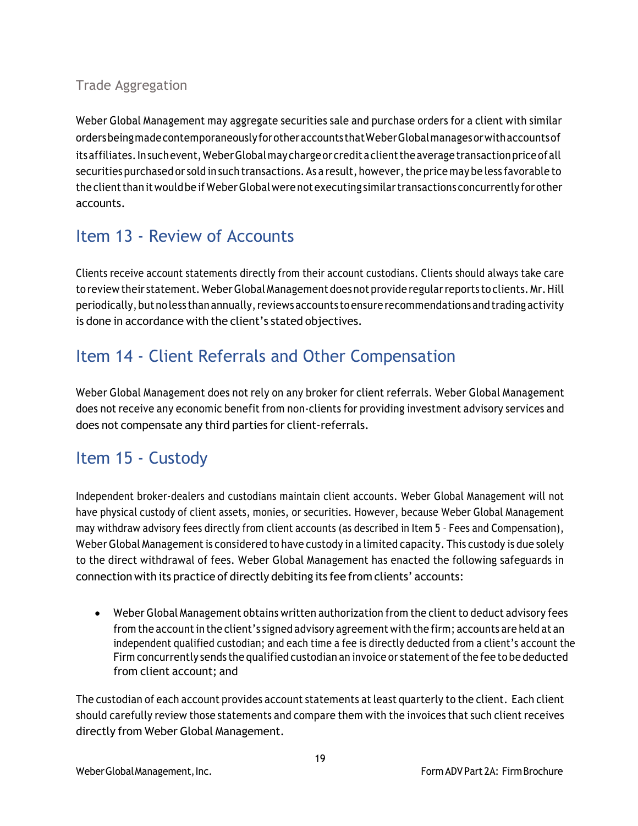### Trade Aggregation

Weber Global Management may aggregate securities sale and purchase orders for a client with similar ordersbeingmadecontemporaneouslyforotheraccounts thatWeberGlobalmanagesorwithaccountsof its affiliates. Insuch event, Weber Global may charge or credit a client the average transaction price of all securities purchased or sold in such transactions. As a result, however, the price may be less favorable to the client than it would be if Weber Global were not executing similar transactions concurrently for other accounts.

# Item 13 - Review of Accounts

Clients receive account statements directly from their account custodians. Clients should always take care to review their statement. WeberGlobalManagement does not provide regularreports to clients. Mr.Hill periodically, but no less than annually, reviews accounts to ensure recommendations and trading activity is done in accordance with the client's stated objectives.

# Item 14 - Client Referrals and Other Compensation

Weber Global Management does not rely on any broker for client referrals. Weber Global Management does not receive any economic benefit from non-clients for providing investment advisory services and does not compensate any third parties for client-referrals.

### Item 15 - Custody

Independent broker-dealers and custodians maintain client accounts. Weber Global Management will not have physical custody of client assets, monies, or securities. However, because Weber Global Management may withdraw advisory fees directly from client accounts (as described in Item 5 – Fees and Compensation), Weber Global Management is considered to have custody in a limited capacity. This custody is due solely to the direct withdrawal of fees. Weber Global Management has enacted the following safeguards in connection with its practice of directly debiting its fee from clients' accounts:

• Weber Global Management obtains written authorization from the client to deduct advisory fees from the accountin the client's signed advisory agreement with the firm; accounts are held at an independent qualified custodian; and each time a fee is directly deducted from a client's account the Firm concurrently sends the qualified custodian an invoice or statement ofthe fee to be deducted from client account; and

The custodian of each account provides account statements at least quarterly to the client. Each client should carefully review those statements and compare them with the invoices that such client receives directly from Weber Global Management.